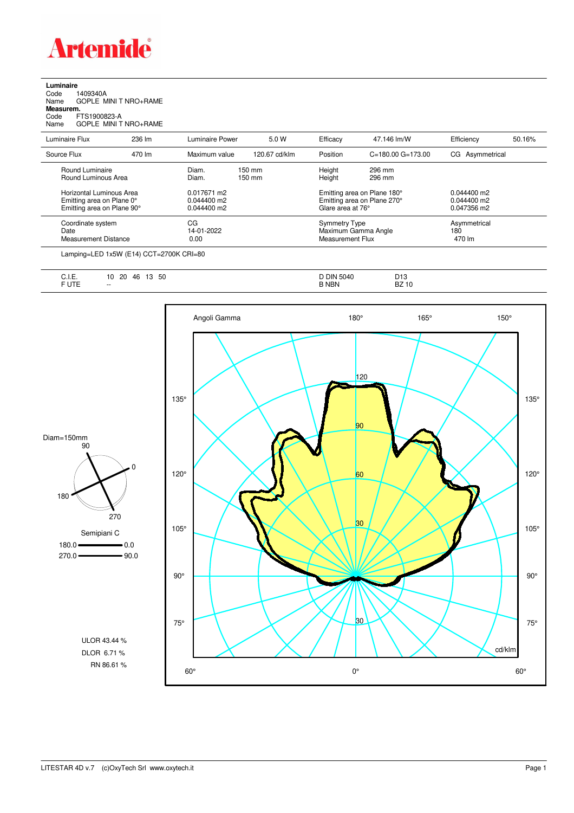

**Luminaire**<br>Code 1<br>Name ( Code 1409340A Name GOPLE MINI T NRO+RAME **Measurem.** Code FTS1900823-A Name GOPLE MINI T NRO+RAME

| Luminaire Flux                                                                      | 236 lm | Luminaire Power                               | 5.0 W                                | Efficacy                                 | 47.146 lm/W                                                | Efficiency                                    | 50.16% |
|-------------------------------------------------------------------------------------|--------|-----------------------------------------------|--------------------------------------|------------------------------------------|------------------------------------------------------------|-----------------------------------------------|--------|
| Source Flux                                                                         | 470 lm | Maximum value                                 | 120.67 cd/klm                        | Position                                 | $C = 180.00$ $G = 173.00$                                  | CG Asymmetrical                               |        |
| Round Luminaire<br>Round Luminous Area                                              |        | Diam.<br>Diam.                                | $150 \text{ mm}$<br>$150 \text{ mm}$ | Height<br>Height                         | 296 mm<br>296 mm                                           |                                               |        |
| Horizontal Luminous Area<br>Emitting area on Plane 0°<br>Emitting area on Plane 90° |        | 0.017671 m2<br>$0.044400$ m2<br>$0.044400$ m2 |                                      | Glare area at 76°                        | Emitting area on Plane 180°<br>Emitting area on Plane 270° | $0.044400$ m2<br>$0.044400$ m2<br>0.047356 m2 |        |
| Coordinate system<br>Date<br><b>Measurement Distance</b>                            |        | CG<br>14-01-2022<br>0.00                      |                                      | <b>Symmetry Type</b><br>Measurement Flux | Maximum Gamma Angle                                        | Asymmetrical<br>180<br>470 lm                 |        |

Lamping=LED 1x5W (E14) CCT=2700K CRI=80